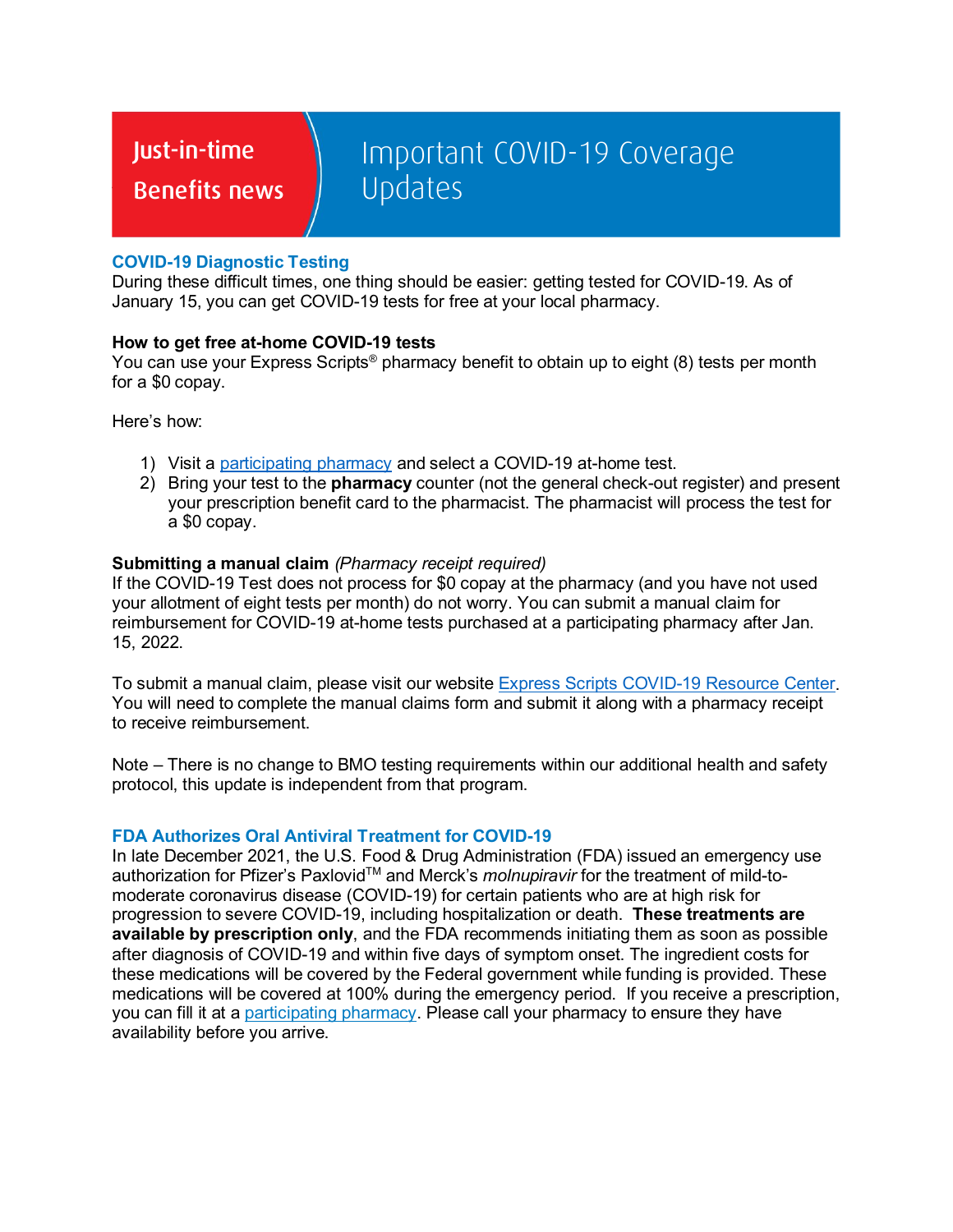Just-in-time

**Benefits news** 

# Important COVID-19 Coverage Updates

## **COVID-19 Diagnostic Testing**

During these difficult times, one thing should be easier: getting tested for COVID-19. As of January 15, you can get COVID-19 tests for free at your local pharmacy.

### **How to get free at-home COVID-19 tests**

You can use your Express Scripts® pharmacy benefit to obtain up to eight (8) tests per month for a \$0 copay.

Here's how:

- 1) Visit a [participating pharmacy](https://www.express-scripts.com/?routingPage=consumer/mybenefits/pl.jsp&CID=) and select a COVID-19 at-home test.
- 2) Bring your test to the **pharmacy** counter (not the general check-out register) and present your prescription benefit card to the pharmacist. The pharmacist will process the test for a \$0 copay.

#### **Submitting a manual claim** *(Pharmacy receipt required)*

If the COVID-19 Test does not process for \$0 copay at the pharmacy (and you have not used your allotment of eight tests per month) do not worry. You can submit a manual claim for reimbursement for COVID-19 at-home tests purchased at a participating pharmacy after Jan. 15, 2022.

To submit a manual claim, please visit our website [Express Scripts COVID-19 Resource Center.](https://www.express-scripts.com/covid-19/resource-center) You will need to complete the manual claims form and submit it along with a pharmacy receipt to receive reimbursement.

Note – There is no change to BMO testing requirements within our additional health and safety protocol, this update is independent from that program.

#### **FDA Authorizes Oral Antiviral Treatment for COVID-19**

In late December 2021, the U.S. Food & Drug Administration (FDA) issued an emergency use authorization for Pfizer's Paxlovid<sup>™</sup> and Merck's *molnupiravir* for the treatment of mild-tomoderate coronavirus disease (COVID-19) for certain patients who are at high risk for progression to severe COVID-19, including hospitalization or death. **These treatments are available by prescription only**, and the FDA recommends initiating them as soon as possible after diagnosis of COVID-19 and within five days of symptom onset. The ingredient costs for these medications will be covered by the Federal government while funding is provided. These medications will be covered at 100% during the emergency period. If you receive a prescription, you can fill it at a [participating pharmacy.](https://www.express-scripts.com/?routingPage=consumer/mybenefits/pl.jsp&CID=) Please call your pharmacy to ensure they have availability before you arrive.